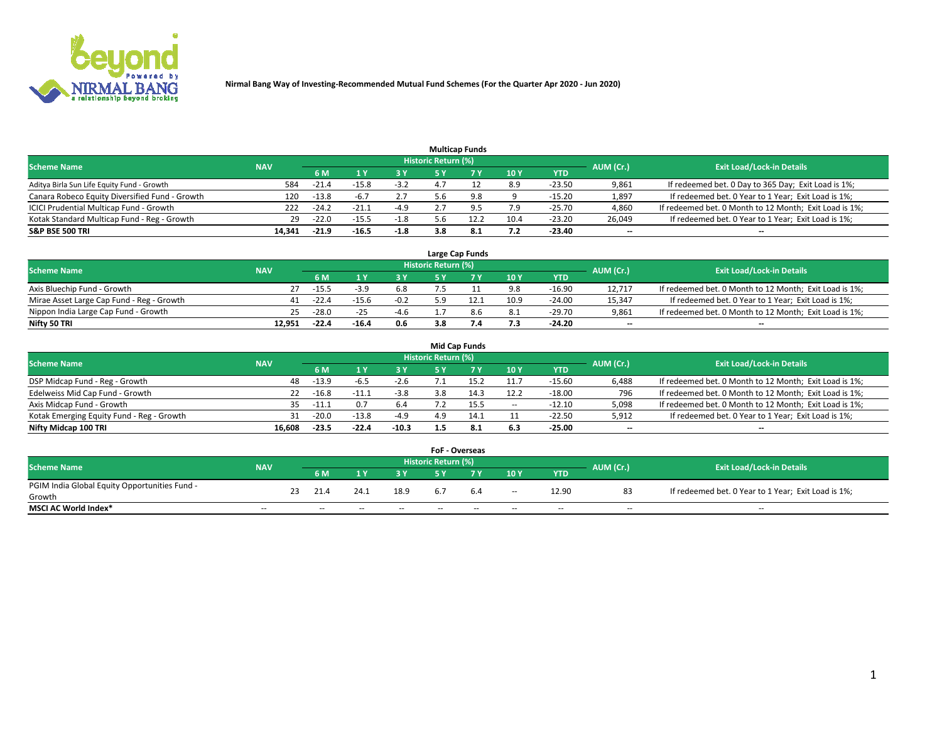

|                                                |            |         |         |        | <b>Multicap Funds</b> |      |      |          |                          |                                                        |
|------------------------------------------------|------------|---------|---------|--------|-----------------------|------|------|----------|--------------------------|--------------------------------------------------------|
| <b>Scheme Name</b>                             | <b>NAV</b> |         |         |        | Historic Return (%)   |      |      |          | AUM (Cr.)                | <b>Exit Load/Lock-in Details</b>                       |
|                                                |            | 6 M     |         |        |                       |      | 10Y  | YTD      |                          |                                                        |
| Aditya Birla Sun Life Equity Fund - Growth     | 584        | $-21.4$ | -15.8   | $-3.2$ |                       |      | 8.9  | $-23.50$ | 9,861                    | If redeemed bet. 0 Day to 365 Day; Exit Load is 1%;    |
| Canara Robeco Equity Diversified Fund - Growth | 120        | $-13.8$ |         | 2.7    | 5.6                   |      |      | $-15.20$ | 1,897                    | If redeemed bet. 0 Year to 1 Year; Exit Load is 1%;    |
| ICICI Prudential Multicap Fund - Growth        | 222        | $-24.7$ | $-21.1$ | $-4.9$ |                       |      | 7.9  | $-25.70$ | 4,860                    | If redeemed bet. 0 Month to 12 Month; Exit Load is 1%; |
| Kotak Standard Multicap Fund - Reg - Growth    | 29         | $-22.0$ | $-15.5$ | $-1.8$ | 5.6                   | 12.2 | 10.4 | $-23.20$ | 26,049                   | If redeemed bet. 0 Year to 1 Year; Exit Load is 1%;    |
| <b>S&amp;P BSE 500 TRI</b>                     | 14.341     | $-21.9$ | $-16.5$ | $-1.8$ | 3.8                   | 8.1  | 7.2  | $-23.40$ | $\overline{\phantom{a}}$ | $\overline{\phantom{a}}$                               |

|                                           |            |         |         |        |                     | Large Cap Funds |      |            |                          |                                                        |
|-------------------------------------------|------------|---------|---------|--------|---------------------|-----------------|------|------------|--------------------------|--------------------------------------------------------|
| <b>Scheme Name</b>                        | <b>NAV</b> |         |         |        | Historic Return (%) |                 |      |            | AUM (Cr.)                | <b>Exit Load/Lock-in Details</b>                       |
|                                           |            | 6 M     |         | 3 Y    |                     |                 | 10Y  | <b>YTD</b> |                          |                                                        |
| Axis Bluechip Fund - Growth               |            | $-15.5$ | -3.5    | 6.8    |                     |                 | 9.8  | -16.90     | 12.717                   | If redeemed bet. 0 Month to 12 Month; Exit Load is 1%; |
| Mirae Asset Large Cap Fund - Reg - Growth | 41         | $-22.4$ | $-15.6$ | $-0.2$ |                     |                 | 10.9 | $-24.00$   | 15.347                   | If redeemed bet. 0 Year to 1 Year; Exit Load is 1%;    |
| Nippon India Large Cap Fund - Growth      | 25         | $-28.0$ |         | $-4.6$ |                     | 8.6             | 8.1  | $-29.70$   | 9,861                    | If redeemed bet. 0 Month to 12 Month; Exit Load is 1%; |
| Nifty 50 TRI                              | 12.951     | $-22.4$ | $-16.4$ | 0.6    | 3.8                 |                 | 7.3  | $-24.20$   | $\overline{\phantom{a}}$ | $\overline{\phantom{a}}$                               |

|                                           |            |         |         |         |                     | <b>Mid Cap Funds</b> |       |            |                          |                                                        |
|-------------------------------------------|------------|---------|---------|---------|---------------------|----------------------|-------|------------|--------------------------|--------------------------------------------------------|
| <b>Scheme Name</b>                        | <b>NAV</b> |         |         |         | Historic Return (%) |                      |       |            | AUM (Cr.)                | <b>Exit Load/Lock-in Details</b>                       |
|                                           |            | 6 M     |         | 3Y      |                     |                      | 10Y   | <b>YTD</b> |                          |                                                        |
| DSP Midcap Fund - Reg - Growth            | 48         | $-13.9$ | -6.5    | $-2.6$  |                     |                      | 11.7  | $-15.60$   | 6,488                    | If redeemed bet. 0 Month to 12 Month; Exit Load is 1%; |
| Edelweiss Mid Cap Fund - Growth           | 22         | $-16.8$ | $-11.1$ | $-3.8$  | 3.8                 |                      | 12.2  | $-18.00$   | 796                      | If redeemed bet. 0 Month to 12 Month; Exit Load is 1%; |
| Axis Midcap Fund - Growth                 | 35.        | $-11.1$ |         | 6.4     |                     | 15.5                 | $- -$ | $-12.10$   | 5,098                    | If redeemed bet. 0 Month to 12 Month; Exit Load is 1%; |
| Kotak Emerging Equity Fund - Reg - Growth |            | $-20.0$ | $-13.8$ | $-4.9$  | 4.9                 |                      |       | -22.50     | 5,912                    | If redeemed bet. 0 Year to 1 Year; Exit Load is 1%;    |
| Nifty Midcap 100 TRI                      | 16.608     | $-23.5$ | $-22.4$ | $-10.3$ | 1.5                 | 8.1                  | 6.3   | $-25.00$   | $\overline{\phantom{a}}$ | $\overline{\phantom{a}}$                               |

|                                               |            |    |      |      |      | <b>FoF - Overseas</b> |     |                          |            |           |                                                     |
|-----------------------------------------------|------------|----|------|------|------|-----------------------|-----|--------------------------|------------|-----------|-----------------------------------------------------|
| <b>Scheme Name</b>                            | <b>NAV</b> |    |      |      |      | Historic Return (%)   |     |                          |            | AUM (Cr.) | <b>Exit Load/Lock-in Details</b>                    |
|                                               |            |    | 6 M  |      |      |                       |     | 10Y                      | <b>YTD</b> |           |                                                     |
| PGIM India Global Equity Opportunities Fund - |            | 23 | 21.4 | 24.1 | 18.9 |                       | 6.4 |                          | 12.90      | 83        | If redeemed bet. 0 Year to 1 Year; Exit Load is 1%; |
| Growth                                        |            |    |      |      |      | b.,                   |     | $\overline{\phantom{a}}$ |            |           |                                                     |
| <b>MSCI AC World Index*</b>                   | $-$        |    | $-$  | --   | $-$  | $- -$                 | --  | $-$                      | $-$        | $-$       | $-$                                                 |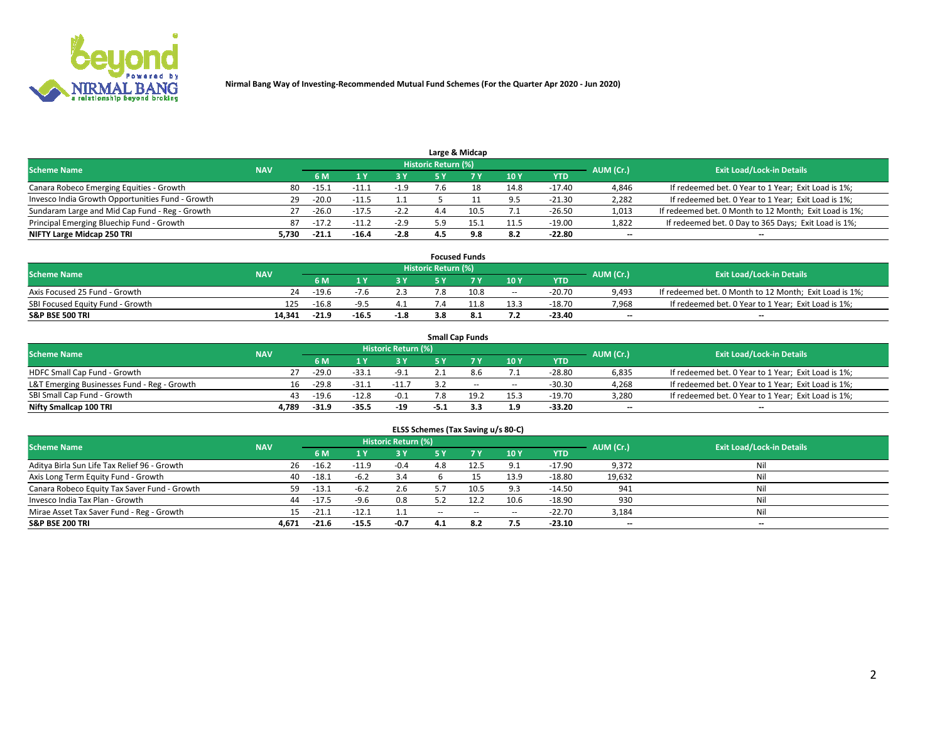

|                                                  |            |         |         |        |                     | Large & Midcap |      |            |           |                                                        |
|--------------------------------------------------|------------|---------|---------|--------|---------------------|----------------|------|------------|-----------|--------------------------------------------------------|
| <b>Scheme Name</b>                               | <b>NAV</b> |         |         |        | Historic Return (%) |                |      |            | AUM (Cr.) | <b>Exit Load/Lock-in Details</b>                       |
|                                                  |            | 6 M     |         |        |                     |                | 10Y  | <b>YTD</b> |           |                                                        |
| Canara Robeco Emerging Equities - Growth         | 80         | $-15.$  | - 1     | -1.9   |                     |                | 14.8 | $-17.40$   | 4,846     | If redeemed bet. 0 Year to 1 Year; Exit Load is 1%;    |
| Invesco India Growth Opportunities Fund - Growth | 29         | $-20.0$ | -11     |        |                     |                | 9.5  | $-21.30$   | 2,282     | If redeemed bet. 0 Year to 1 Year; Exit Load is 1%;    |
| Sundaram Large and Mid Cap Fund - Reg - Growth   | 27         | $-26.0$ | $-17.5$ | $-2.2$ |                     | 10.5           |      | $-26.50$   | 1,013     | If redeemed bet. 0 Month to 12 Month; Exit Load is 1%; |
| Principal Emerging Bluechip Fund - Growth        | 87         | -17.4   | - 1     | $-2.9$ | : വ                 | 15.1           | 11.5 | $-19.00$   | 1,822     | If redeemed bet. 0 Day to 365 Days; Exit Load is 1%;   |
| NIFTY Large Midcap 250 TRI                       | 5.730      | $-21.1$ | $-16.4$ | $-2.8$ | 4.5                 | 9.8            | 8.2  | $-22.80$   | $-$       | $\overline{\phantom{a}}$                               |

|                                  |            |         |         |        |                     | <b>Focused Funds</b> |        |          |                          |                                                        |
|----------------------------------|------------|---------|---------|--------|---------------------|----------------------|--------|----------|--------------------------|--------------------------------------------------------|
| <b>Scheme Name</b>               | <b>NAV</b> |         |         |        | Historic Return (%) |                      |        |          | AUM (Cr.)                | <b>Exit Load/Lock-in Details</b>                       |
|                                  |            | 6 M     |         |        |                     |                      | 10Y    | YTD      |                          |                                                        |
| Axis Focused 25 Fund - Growth    | 24         | $-19.6$ | $-1.6$  |        |                     | 10.8                 | $\sim$ | $-20.70$ | 9,493                    | If redeemed bet. 0 Month to 12 Month; Exit Load is 1%; |
| SBI Focused Equity Fund - Growth | 125        | $-16.8$ |         |        |                     |                      | 13.3   | $-18.70$ | 7,968                    | If redeemed bet. 0 Year to 1 Year; Exit Load is 1%;    |
| <b>S&amp;P BSE 500 TRI</b>       | 14.341     | $-21.9$ | $-16.5$ | $-1.8$ |                     |                      | 7.2    | $-23.40$ | $\overline{\phantom{a}}$ | $\overline{\phantom{a}}$                               |

|                                             |            |           |                                  |         | <b>Small Cap Funds</b> |      |            |       |                                                     |
|---------------------------------------------|------------|-----------|----------------------------------|---------|------------------------|------|------------|-------|-----------------------------------------------------|
| <b>Scheme Name</b>                          | <b>NAV</b> | AUM (Cr.) | <b>Exit Load/Lock-in Details</b> |         |                        |      |            |       |                                                     |
|                                             |            | 6 M       |                                  | 3 Y     |                        | 10Y  | <b>YTD</b> |       |                                                     |
| HDFC Small Cap Fund - Growth                |            | $-29.0$   | $-33.1$                          | $-9.1$  | 8.6                    |      | $-28.80$   | 6,835 | If redeemed bet. 0 Year to 1 Year; Exit Load is 1%; |
| L&T Emerging Businesses Fund - Reg - Growth | 16         | $-29.8$   | $-31.1$                          | $-11.7$ | $\sim$                 | $-$  | $-30.30$   | 4,268 | If redeemed bet. 0 Year to 1 Year; Exit Load is 1%; |
| SBI Small Cap Fund - Growth                 | 43         | $-19.6$   | $-12.8$                          | $-0.1$  | 19 <sub>2</sub>        | 15.3 | $-19.70$   | 3,280 | If redeemed bet. 0 Year to 1 Year; Exit Load is 1%; |
| Nifty Smallcap 100 TRI                      | 4.789      | $-31.9$   | $-35.5$                          | $-19$   |                        | 1.9  | $-33.20$   | $- -$ | $\overline{\phantom{a}}$                            |

| ELSS Schemes (Tax Saving u/s 80-C)           |            |         |         |                            |           |        |        |            |                          |                                  |  |  |  |
|----------------------------------------------|------------|---------|---------|----------------------------|-----------|--------|--------|------------|--------------------------|----------------------------------|--|--|--|
| <b>Scheme Name</b>                           | <b>NAV</b> |         |         | <b>Historic Return (%)</b> |           |        |        |            | AUM (Cr.)                | <b>Exit Load/Lock-in Details</b> |  |  |  |
|                                              |            | 6 M     |         | 3 Y                        | <b>5Y</b> | 7 Y    | 10Y    | <b>YTD</b> |                          |                                  |  |  |  |
| Aditya Birla Sun Life Tax Relief 96 - Growth | 26         | $-16.2$ | $-11.9$ | $-0.4$                     | 4.8       | 12.5   | 9.1    | $-17.90$   | 9,372                    | Nil                              |  |  |  |
| Axis Long Term Equity Fund - Growth          | 40         | $-18.1$ | $-6.2$  | 3.4                        |           |        | 13.9   | $-18.80$   | 19,632                   | Nil                              |  |  |  |
| Canara Robeco Equity Tax Saver Fund - Growth | 59         | $-13.1$ | $-6.2$  | 2.6                        | 5.7       | 10.5   | 9.3    | $-14.50$   | 941                      | Nil                              |  |  |  |
| Invesco India Tax Plan - Growth              | 44         | $-17.5$ | $-9.6$  | 0.8                        | 5.2       |        | 10.6   | $-18.90$   | 930                      | Nil                              |  |  |  |
| Mirae Asset Tax Saver Fund - Reg - Growth    | 15         | $-21.1$ | $-12.1$ | 1.1                        | $\sim$    | $\sim$ | $\sim$ | $-22.70$   | 3,184                    | Nil                              |  |  |  |
| <b>S&amp;P BSE 200 TRI</b>                   | 4.671      | $-21.6$ | $-15.5$ | -0.7                       | 4.1       | 8.2    | 7.5    | $-23.10$   | $\overline{\phantom{a}}$ | $- -$                            |  |  |  |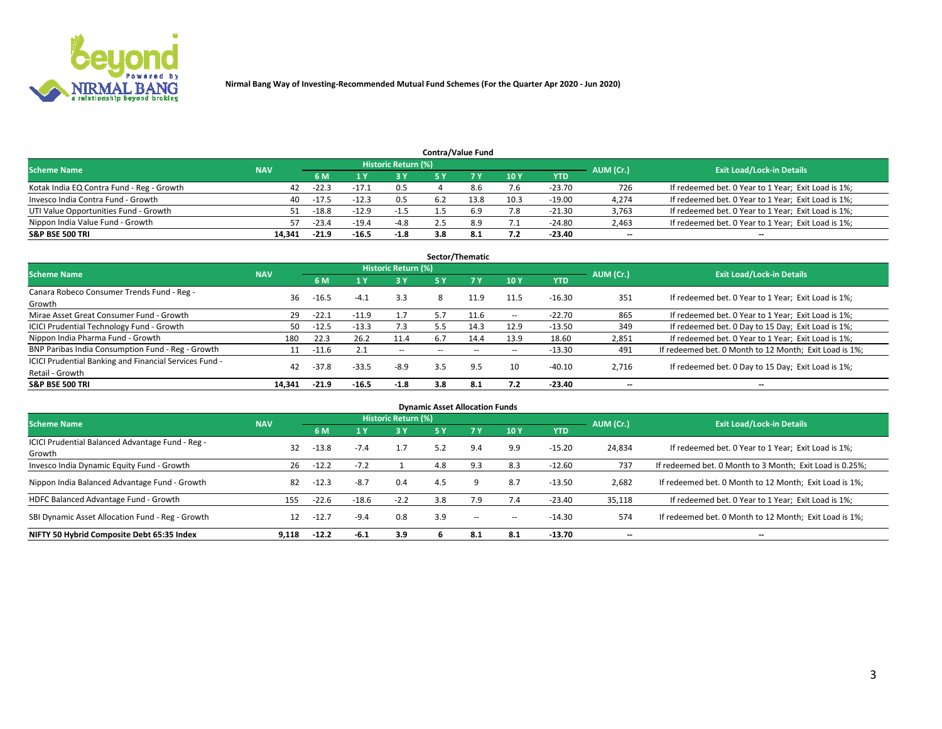

| <b>Contra/Value Fund</b>                  |            |           |                                  |        |     |      |                 |            |       |                                                     |  |  |  |  |
|-------------------------------------------|------------|-----------|----------------------------------|--------|-----|------|-----------------|------------|-------|-----------------------------------------------------|--|--|--|--|
| <b>Scheme Name</b>                        | <b>NAV</b> | AUM (Cr.) | <b>Exit Load/Lock-in Details</b> |        |     |      |                 |            |       |                                                     |  |  |  |  |
|                                           |            | 6 M       |                                  | 3 Y    |     |      | 10 <sub>V</sub> | <b>YTD</b> |       |                                                     |  |  |  |  |
| Kotak India EQ Contra Fund - Reg - Growth | 42         | $-22.3$   | -17.1                            | 0.5    |     |      | 7.6             | $-23.70$   | 726   | If redeemed bet. 0 Year to 1 Year; Exit Load is 1%; |  |  |  |  |
| Invesco India Contra Fund - Growth        | 40         | $-17.5$   | $-12.3$                          | 0.5    |     | 13.8 | 10.3            | $-19.00$   | 4,274 | If redeemed bet. 0 Year to 1 Year; Exit Load is 1%; |  |  |  |  |
| UTI Value Opportunities Fund - Growth     | 51         | $-18.8$   | $-12.9$                          | $-1.5$ |     |      | 7.8             | $-21.30$   | 3,763 | If redeemed bet. 0 Year to 1 Year; Exit Load is 1%; |  |  |  |  |
| Nippon India Value Fund - Growth          | 57         | $-23.4$   | $-19.4$                          | $-4.8$ |     | яq   | 7.1             | $-24.80$   | 2,463 | If redeemed bet. 0 Year to 1 Year; Exit Load is 1%; |  |  |  |  |
| <b>S&amp;P BSE 500 TRI</b>                | 14,341     | $-21.9$   | $-16.5$                          | $-1.8$ | 3.8 |      | 7.2             | $-23.40$   | $- -$ | $\sim$                                              |  |  |  |  |

|                                                                           |            |         |         |                            |     | Sector/Thematic |                   |          |           |                                                        |
|---------------------------------------------------------------------------|------------|---------|---------|----------------------------|-----|-----------------|-------------------|----------|-----------|--------------------------------------------------------|
| <b>Scheme Name</b>                                                        | <b>NAV</b> |         |         | <b>Historic Return (%)</b> |     |                 |                   |          | AUM (Cr.) | <b>Exit Load/Lock-in Details</b>                       |
|                                                                           |            | 6 M     |         | 3 Y                        | 5 Y |                 | 10Y               | YTD      |           |                                                        |
| Canara Robeco Consumer Trends Fund - Reg -<br>Growth                      | 36         | $-16.5$ | $-4.1$  | 3.3                        | 8   | 11.9            | 11.5              | $-16.30$ | 351       | If redeemed bet. 0 Year to 1 Year; Exit Load is 1%;    |
| Mirae Asset Great Consumer Fund - Growth                                  | 29         | $-22.1$ | $-11.9$ | 1.7                        | 5.7 | 11.6            | $\hspace{0.05cm}$ | $-22.70$ | 865       | If redeemed bet. 0 Year to 1 Year; Exit Load is 1%;    |
| <b>ICICI Prudential Technology Fund - Growth</b>                          | 50         | $-12.5$ | $-13.3$ | 7.3                        | 5.5 | 14.3            | 12.9              | $-13.50$ | 349       | If redeemed bet. 0 Day to 15 Day; Exit Load is 1%;     |
| Nippon India Pharma Fund - Growth                                         | 180        | 22.3    | 26.2    | 11.4                       | 6.7 | 14.4            | 13.9              | 18.60    | 2,851     | If redeemed bet. 0 Year to 1 Year; Exit Load is 1%;    |
| BNP Paribas India Consumption Fund - Reg - Growth                         | 11         | -11.6   | 2.1     | $\sim$                     |     |                 | $\sim$            | $-13.30$ | 491       | If redeemed bet. 0 Month to 12 Month; Exit Load is 1%; |
| ICICI Prudential Banking and Financial Services Fund -<br>Retail - Growth | 42         | $-37.8$ | $-33.5$ | $-8.9$                     | 3.5 | 9.5             | 10                | $-40.10$ | 2,716     | If redeemed bet. 0 Day to 15 Day; Exit Load is 1%;     |
| <b>S&amp;P BSE 500 TRI</b>                                                | 14.341     | $-21.9$ | $-16.5$ | $-1.8$                     | 3.8 | -8.1            | 7.2               | $-23.40$ | $- -$     | $\overline{\phantom{a}}$                               |

| <b>Dynamic Asset Allocation Funds</b>                      |            |         |         |                            |            |     |        |            |           |                                                          |  |  |  |
|------------------------------------------------------------|------------|---------|---------|----------------------------|------------|-----|--------|------------|-----------|----------------------------------------------------------|--|--|--|
| <b>Scheme Name</b>                                         | <b>NAV</b> |         |         | <b>Historic Return (%)</b> |            |     |        |            | AUM (Cr.) | <b>Exit Load/Lock-in Details</b>                         |  |  |  |
|                                                            |            | 6 M     |         | 3 Y                        | <b>5 Y</b> |     | 10Y    | <b>YTD</b> |           |                                                          |  |  |  |
| ICICI Prudential Balanced Advantage Fund - Reg -<br>Growth | 32         | $-13.8$ | $-7.4$  | 1.7                        | 5.2        | 9.4 | 9.9    | $-15.20$   | 24,834    | If redeemed bet. 0 Year to 1 Year; Exit Load is 1%;      |  |  |  |
| Invesco India Dynamic Equity Fund - Growth                 | 26         | $-12.2$ | $-7.2$  |                            | 4.8        | 9.3 | 8.3    | $-12.60$   | 737       | If redeemed bet. 0 Month to 3 Month; Exit Load is 0.25%; |  |  |  |
| Nippon India Balanced Advantage Fund - Growth              | 82         | $-12.3$ | $-8.7$  | 0.4                        | 4.5        |     | 8.7    | $-13.50$   | 2,682     | If redeemed bet. 0 Month to 12 Month; Exit Load is 1%;   |  |  |  |
| HDFC Balanced Advantage Fund - Growth                      | 155        | $-22.6$ | $-18.6$ | $-2.2$                     | 3.8        | 7.9 | 7.4    | $-23.40$   | 35,118    | If redeemed bet. 0 Year to 1 Year; Exit Load is 1%;      |  |  |  |
| SBI Dynamic Asset Allocation Fund - Reg - Growth           | 12         | $-12.7$ | $-9.4$  | 0.8                        | 3.9        | $-$ | $\sim$ | $-14.30$   | 574       | If redeemed bet. 0 Month to 12 Month; Exit Load is 1%;   |  |  |  |
| NIFTY 50 Hybrid Composite Debt 65:35 Index                 | 9.118      | $-12.2$ | -6.1    | 3.9                        |            | 8.1 | 8.1    | $-13.70$   |           | $\overline{\phantom{a}}$                                 |  |  |  |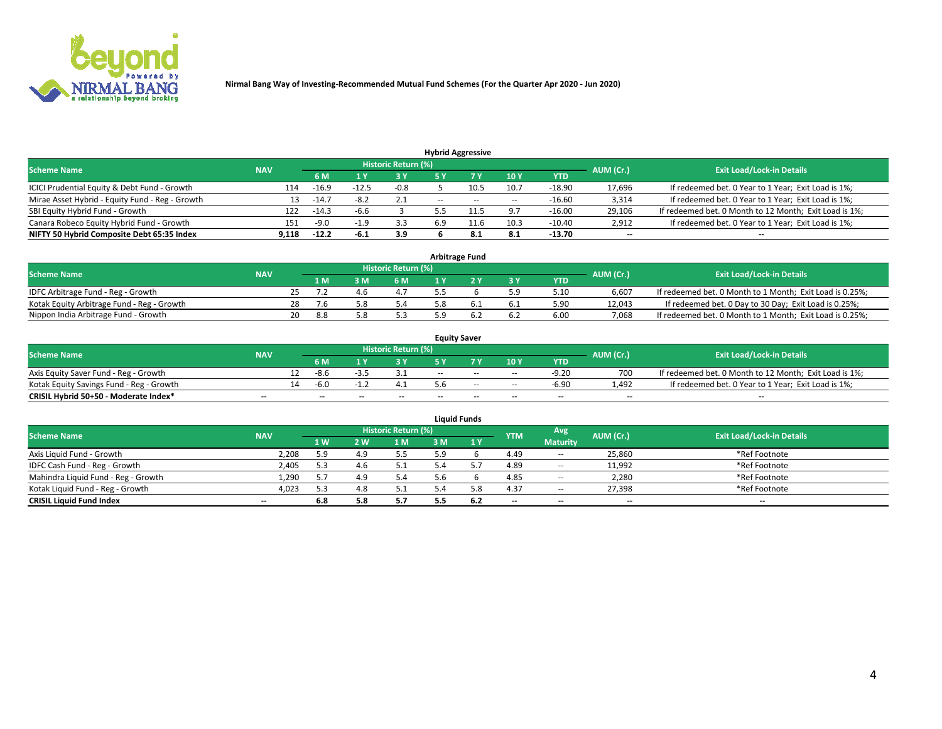

| <b>Hybrid Aggressive</b>                        |            |         |         |                     |                          |        |        |          |           |                                                        |  |  |  |
|-------------------------------------------------|------------|---------|---------|---------------------|--------------------------|--------|--------|----------|-----------|--------------------------------------------------------|--|--|--|
| <b>Scheme Name</b>                              | <b>NAV</b> |         |         | Historic Return (%) |                          |        |        |          | AUM (Cr.) | <b>Exit Load/Lock-in Details</b>                       |  |  |  |
|                                                 |            | 6 M     |         | 3 Y                 |                          |        | 10Y    | YTD      |           |                                                        |  |  |  |
| ICICI Prudential Equity & Debt Fund - Growth    | 114        | $-16.9$ | $-12.5$ | $-0.8$              |                          | 10.5   | 10.7   | $-18.90$ | 17,696    | If redeemed bet. 0 Year to 1 Year; Exit Load is 1%;    |  |  |  |
| Mirae Asset Hybrid - Equity Fund - Reg - Growth | 13         | $-14.7$ | $-8.2$  | 2.1                 | $\overline{\phantom{a}}$ | $\sim$ | $\sim$ | $-16.60$ | 3,314     | If redeemed bet. 0 Year to 1 Year; Exit Load is 1%;    |  |  |  |
| SBI Equity Hybrid Fund - Growth                 | 122        | $-14.3$ | -6.6    |                     |                          |        | 9.7    | $-16.00$ | 29,106    | If redeemed bet. 0 Month to 12 Month; Exit Load is 1%; |  |  |  |
| Canara Robeco Equity Hybrid Fund - Growth       | 151        | $-9.0$  | -1.5    | 3.3                 |                          |        | 10.3   | $-10.40$ | 2,912     | If redeemed bet. 0 Year to 1 Year; Exit Load is 1%;    |  |  |  |
| NIFTY 50 Hybrid Composite Debt 65:35 Index      | 9,118      | $-12.2$ | -6.1    | 3.9                 |                          | 8.1    | 8.1    | $-13.70$ | $- -$     | $\overline{\phantom{a}}$                               |  |  |  |

| <b>Arbitrage Fund</b>                      |            |    |     |      |                     |  |  |       |            |           |                                                          |  |  |
|--------------------------------------------|------------|----|-----|------|---------------------|--|--|-------|------------|-----------|----------------------------------------------------------|--|--|
| <b>Scheme Name</b>                         | <b>NAV</b> |    |     |      | Historic Return (%) |  |  |       |            | AUM (Cr.) | <b>Exit Load/Lock-in Details</b>                         |  |  |
|                                            |            |    | 1 M | ιM   | 6 M                 |  |  | $-3V$ | <b>YTD</b> |           |                                                          |  |  |
| IDFC Arbitrage Fund - Reg - Growth         |            |    |     | 4. h | 4.7                 |  |  | 5.9   | 5.10       | 6.607     | If redeemed bet. 0 Month to 1 Month; Exit Load is 0.25%; |  |  |
| Kotak Equity Arbitrage Fund - Reg - Growth |            | 28 |     |      | 5.4                 |  |  |       | 5.90       | 12.043    | If redeemed bet. 0 Day to 30 Day; Exit Load is 0.25%;    |  |  |
| Nippon India Arbitrage Fund - Growth       |            | 20 | 8.8 |      |                     |  |  |       | 6.00       | 7.068     | If redeemed bet. 0 Month to 1 Month; Exit Load is 0.25%; |  |  |

| <b>Equity Saver</b>                      |            |    |      |    |                     |       |        |        |            |                          |                                                        |  |  |
|------------------------------------------|------------|----|------|----|---------------------|-------|--------|--------|------------|--------------------------|--------------------------------------------------------|--|--|
| <b>Scheme Name</b>                       | <b>NAV</b> |    |      |    | Historic Return (%) |       |        |        |            | AUM (Cr.)                | <b>Exit Load/Lock-in Details</b>                       |  |  |
|                                          |            |    | 6 M  |    | o v                 |       |        | 10Y    | <b>YTD</b> |                          |                                                        |  |  |
| Axis Equity Saver Fund - Reg - Growth    |            | 12 | -8.6 |    |                     | $- -$ | $-$    | $\sim$ | $-9.20$    | 700                      | If redeemed bet. 0 Month to 12 Month; Exit Load is 1%; |  |  |
| Kotak Equity Savings Fund - Reg - Growth |            | 14 | -6.0 |    |                     |       | $\sim$ | $\sim$ | $-6.90$    | 1.492                    | If redeemed bet. 0 Year to 1 Year; Exit Load is 1%;    |  |  |
| CRISIL Hybrid 50+50 - Moderate Index*    | $- -$      |    | --   | -- | $-$                 | $- -$ | $\sim$ | $-$    | $-$        | $\overline{\phantom{a}}$ | $-$                                                    |  |  |

| <b>Liquid Funds</b>                 |                          |           |     |                            |     |     |            |                          |                          |                                  |  |  |  |
|-------------------------------------|--------------------------|-----------|-----|----------------------------|-----|-----|------------|--------------------------|--------------------------|----------------------------------|--|--|--|
| <b>Scheme Name</b>                  | <b>NAV</b>               |           |     | <b>Historic Return (%)</b> |     |     | <b>YTM</b> | Avg                      | AUM (Cr.)                | <b>Exit Load/Lock-in Details</b> |  |  |  |
|                                     |                          | <b>1W</b> | 2 W | 1 M                        | з м | 1 Y |            | <b>Maturity</b>          |                          |                                  |  |  |  |
| Axis Liquid Fund - Growth           | 2,208                    | 5.9       | 4.9 | 5.5                        | 5.9 |     | 4.49       | $\sim$                   | 25,860                   | *Ref Footnote                    |  |  |  |
| IDFC Cash Fund - Reg - Growth       | 2,405                    | 5.3       | 4.b | 5.1                        |     |     | 4.89       | $\sim$                   | 11,992                   | *Ref Footnote                    |  |  |  |
| Mahindra Liquid Fund - Reg - Growth | 1,290                    | 57        | 4.9 | 5.4                        |     |     | 4.85       | $\overline{\phantom{a}}$ | 2,280                    | *Ref Footnote                    |  |  |  |
| Kotak Liquid Fund - Reg - Growth    | 4,023                    | 5.3       | 4.8 | 5.1                        |     | 5.8 | 4.37       | $\sim$                   | 27,398                   | *Ref Footnote                    |  |  |  |
| <b>CRISIL Liquid Fund Index</b>     | $\overline{\phantom{a}}$ | 6.8       | 5.8 | 5.7                        |     | 6.2 | $-$        | $- -$                    | $\overline{\phantom{a}}$ | $- -$                            |  |  |  |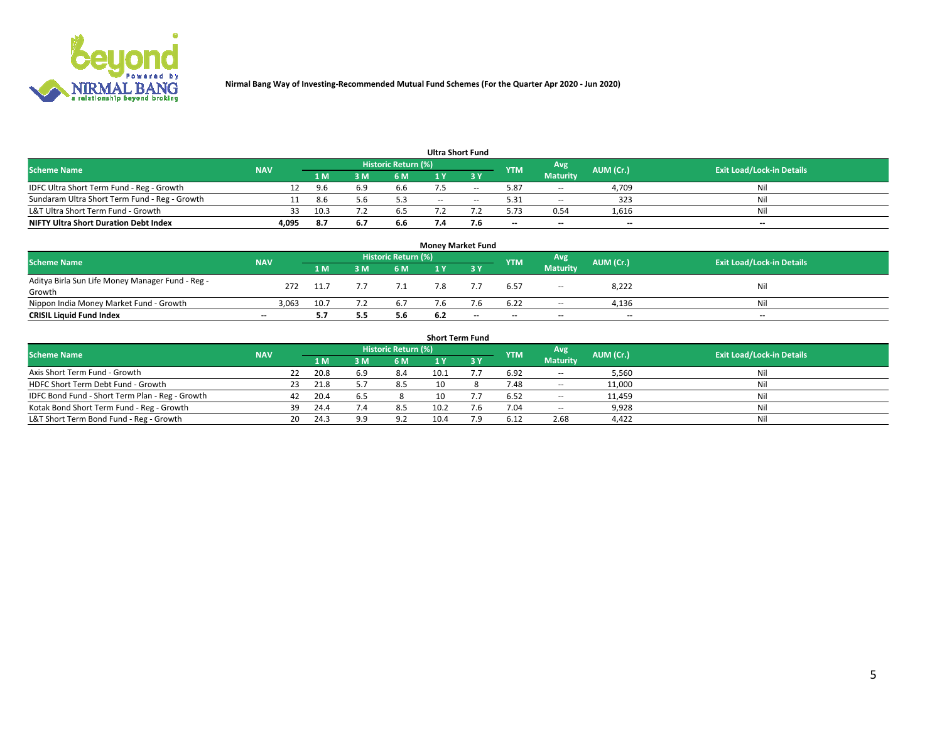

| <b>Ultra Short Fund</b>                       |            |      |     |                     |       |       |            |                 |                          |                                  |  |  |  |  |
|-----------------------------------------------|------------|------|-----|---------------------|-------|-------|------------|-----------------|--------------------------|----------------------------------|--|--|--|--|
| <b>Scheme Name</b>                            | <b>NAV</b> |      |     | Historic Return (%) |       |       | <b>YTM</b> | Avg             | AUM (Cr.)                | <b>Exit Load/Lock-in Details</b> |  |  |  |  |
|                                               |            | 1 M  | : M | 6 M                 |       | י פ   |            | <b>Maturity</b> |                          |                                  |  |  |  |  |
| IDFC Ultra Short Term Fund - Reg - Growth     |            | -96  |     | 6.6                 |       | $- -$ | 5.87       | $\sim$          | 4.709                    | Nil                              |  |  |  |  |
| Sundaram Ultra Short Term Fund - Reg - Growth |            | -8.6 |     | 5.3                 | $- -$ | $-$   | 5.31       | $\sim$          | 323                      | Nil                              |  |  |  |  |
| L&T Ultra Short Term Fund - Growth            | 33         | 10.3 |     | 6.5                 |       |       | 5.73       | 0.54            | 1,616                    | Nil                              |  |  |  |  |
| <b>NIFTY Ultra Short Duration Debt Index</b>  | 4,095      | -8.7 |     | 6.6                 |       | 7.6   | $- -$      | $-$             | $\overline{\phantom{a}}$ | $- -$                            |  |  |  |  |

| <b>Money Market Fund</b>                         |            |      |     |                            |     |     |            |                 |           |                                  |  |  |  |  |
|--------------------------------------------------|------------|------|-----|----------------------------|-----|-----|------------|-----------------|-----------|----------------------------------|--|--|--|--|
| <b>Scheme Name</b>                               | <b>NAV</b> |      |     | <b>Historic Return (%)</b> |     |     | <b>YTM</b> | Avg             | AUM (Cr.) | <b>Exit Load/Lock-in Details</b> |  |  |  |  |
|                                                  |            | 1 M  | 3 M | 6 M                        |     | ע כ |            | <b>Maturity</b> |           |                                  |  |  |  |  |
| Aditya Birla Sun Life Money Manager Fund - Reg - | 272        |      |     |                            |     |     | 6.57       |                 | 8,222     | Nil                              |  |  |  |  |
| Growth                                           |            |      |     |                            |     |     |            | $\sim$          |           |                                  |  |  |  |  |
| Nippon India Money Market Fund - Growth          | 3.063      | 10.7 |     | 6.7                        |     |     | 6.22       | $- -$           | 4,136     | Nil                              |  |  |  |  |
| <b>CRISIL Liquid Fund Index</b>                  | $- -$      | 5.7  | 5.5 | 5.6                        | 6.2 | --  | $-$        | $- -$           | $- -$     | $-$                              |  |  |  |  |

| <b>Short Term Fund</b>                          |            |     |      |     |                            |    |  |            |                          |           |                                  |  |  |
|-------------------------------------------------|------------|-----|------|-----|----------------------------|----|--|------------|--------------------------|-----------|----------------------------------|--|--|
| <b>Scheme Name</b>                              | <b>NAV</b> |     |      |     | <b>Historic Return (%)</b> |    |  | <b>YTM</b> | Avg                      | AUM (Cr.) | <b>Exit Load/Lock-in Details</b> |  |  |
|                                                 |            |     | 1 M  | 3 M | 6 M                        |    |  |            | <b>Maturity</b>          |           |                                  |  |  |
| Axis Short Term Fund - Growth                   |            | 22  | 20.8 | 6.9 | 8.4                        |    |  | 6.92       | $\overline{\phantom{a}}$ | 5,560     | Nil                              |  |  |
| HDFC Short Term Debt Fund - Growth              |            | 23. | 21.8 |     | 8.5                        | 10 |  | 7.48       | $\sim$                   | 11,000    | Nil                              |  |  |
| IDFC Bond Fund - Short Term Plan - Reg - Growth |            | 42  | 20.4 |     |                            |    |  | 6.52       | $\sim$ $-$               | 11,459    | Nil                              |  |  |
| Kotak Bond Short Term Fund - Reg - Growth       |            | 39  | 24.4 |     | 8.5                        |    |  | 7.04       | $\sim$                   | 9,928     | Nil                              |  |  |
| L&T Short Term Bond Fund - Reg - Growth         |            | 20. | 24.3 | 9.9 | 9.2                        |    |  | 6.12       | 2.68                     | 4,422     | Nil                              |  |  |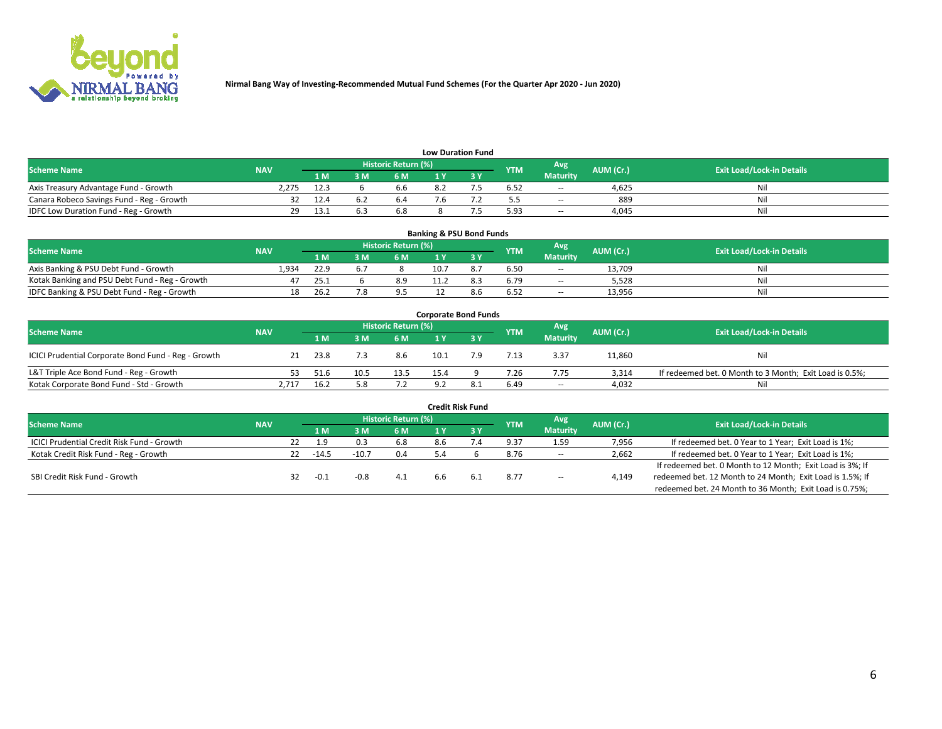

| <b>Low Duration Fund</b>                  |            |      |     |                     |  |  |            |                 |           |                                  |  |  |  |  |
|-------------------------------------------|------------|------|-----|---------------------|--|--|------------|-----------------|-----------|----------------------------------|--|--|--|--|
| <b>Scheme Name</b>                        | <b>NAV</b> |      |     | Historic Return (%) |  |  | <b>YTM</b> | Avg             | AUM (Cr.) | <b>Exit Load/Lock-in Details</b> |  |  |  |  |
|                                           |            | 1 M  | 3 M | 6 M                 |  |  |            | <b>Maturity</b> |           |                                  |  |  |  |  |
| Axis Treasury Advantage Fund - Growth     | 2.275      | 12.3 |     | 6.6                 |  |  | 6.52       | $\sim$          | 4.625     | Nil                              |  |  |  |  |
| Canara Robeco Savings Fund - Reg - Growth |            | 12.4 |     | b.4                 |  |  |            | $\sim$          | 889       | Nil                              |  |  |  |  |
| IDFC Low Duration Fund - Reg - Growth     | 29         | ذ.13 |     | 6.8                 |  |  | 5.93       | $\sim$          | 4.045     | Nil                              |  |  |  |  |

| <b>Banking &amp; PSU Bond Funds</b>            |            |      |     |                            |  |  |            |                          |           |                                  |  |  |  |  |
|------------------------------------------------|------------|------|-----|----------------------------|--|--|------------|--------------------------|-----------|----------------------------------|--|--|--|--|
| <b>Scheme Name</b>                             | <b>NAV</b> |      |     | <b>Historic Return (%)</b> |  |  | <b>YTM</b> | Avg                      | AUM (Cr.) | <b>Exit Load/Lock-in Details</b> |  |  |  |  |
|                                                |            | 1 M  | 3 M | 6 M                        |  |  |            | <b>Maturity</b>          |           |                                  |  |  |  |  |
| Axis Banking & PSU Debt Fund - Growth          | 1.934      | 22.9 |     |                            |  |  | 6.50       | $\sim$                   | 13,709    | Nil                              |  |  |  |  |
| Kotak Banking and PSU Debt Fund - Reg - Growth |            | 25.1 |     | 8.9                        |  |  | 6.79       | $\overline{\phantom{a}}$ | 5.528     | Nil                              |  |  |  |  |
| IDFC Banking & PSU Debt Fund - Reg - Growth    |            | 26.2 |     | 9.5                        |  |  | 6.52       | $\sim$                   | 13,956    | Nil                              |  |  |  |  |

| <b>Corporate Bond Funds</b>                         |            |      |      |                     |      |  |            |                          |           |                                                         |  |  |  |  |
|-----------------------------------------------------|------------|------|------|---------------------|------|--|------------|--------------------------|-----------|---------------------------------------------------------|--|--|--|--|
| <b>Scheme Name</b>                                  | <b>NAV</b> |      |      | Historic Return (%) |      |  | <b>YTM</b> | Avg                      | AUM (Cr.) | <b>Exit Load/Lock-in Details</b>                        |  |  |  |  |
|                                                     |            | 1 M. |      | 6 M                 |      |  |            | <b>Maturity</b>          |           |                                                         |  |  |  |  |
| ICICI Prudential Corporate Bond Fund - Reg - Growth |            | 23.8 |      | 8.6                 | 10.1 |  | 7.13       | 3.37                     | 11,860    | Nil                                                     |  |  |  |  |
| L&T Triple Ace Bond Fund - Reg - Growth             | 53.        | 51.6 | 10.5 | 13.5                | 15.4 |  | 7.26       | 7.75                     | 3.314     | If redeemed bet. 0 Month to 3 Month; Exit Load is 0.5%; |  |  |  |  |
| Kotak Corporate Bond Fund - Std - Growth            | 2.717      | 16.2 |      |                     | 9.2  |  | 6.49       | $\overline{\phantom{a}}$ | 4,032     | Nil                                                     |  |  |  |  |

| <b>Credit Risk Fund</b>                    |            |    |         |         |                            |     |     |            |                 |           |                                                           |  |  |
|--------------------------------------------|------------|----|---------|---------|----------------------------|-----|-----|------------|-----------------|-----------|-----------------------------------------------------------|--|--|
| <b>Scheme Name</b>                         | <b>NAV</b> |    |         |         | <b>Historic Return (%)</b> |     |     | <b>YTM</b> | Avg             | AUM (Cr.) | <b>Exit Load/Lock-in Details</b>                          |  |  |
|                                            |            |    | 1 M     | 3 M     | 6 M                        |     | 3 Y |            | <b>Maturity</b> |           |                                                           |  |  |
| ICICI Prudential Credit Risk Fund - Growth |            | 22 | 1.9     |         | 6.8                        | 8.6 |     | 9.37       | 1.59            | 7,956     | If redeemed bet. 0 Year to 1 Year; Exit Load is 1%;       |  |  |
| Kotak Credit Risk Fund - Reg - Growth      |            | 22 | $-14.5$ | $-10.7$ | 0.4                        | 5.4 |     | 8.76       | $\sim$          | 2,662     | If redeemed bet. 0 Year to 1 Year; Exit Load is 1%;       |  |  |
|                                            |            |    |         |         |                            |     |     |            |                 |           | If redeemed bet. 0 Month to 12 Month; Exit Load is 3%; If |  |  |
| SBI Credit Risk Fund - Growth              |            |    | ∴0-     | -0.8    | 4.1                        | b.b | 6.1 | 8.77       | $\sim$          | 4,149     | redeemed bet. 12 Month to 24 Month; Exit Load is 1.5%; If |  |  |
|                                            |            |    |         |         |                            |     |     |            |                 |           | redeemed bet. 24 Month to 36 Month; Exit Load is 0.75%;   |  |  |